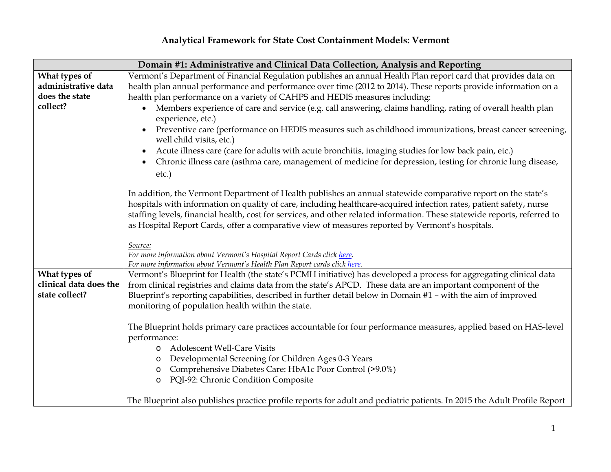## **Analytical Framework for State Cost Containment Models: Vermont**

| Domain #1: Administrative and Clinical Data Collection, Analysis and Reporting |                                                                                                                           |  |
|--------------------------------------------------------------------------------|---------------------------------------------------------------------------------------------------------------------------|--|
| What types of                                                                  | Vermont's Department of Financial Regulation publishes an annual Health Plan report card that provides data on            |  |
| administrative data                                                            | health plan annual performance and performance over time (2012 to 2014). These reports provide information on a           |  |
| does the state                                                                 | health plan performance on a variety of CAHPS and HEDIS measures including:                                               |  |
| collect?                                                                       | Members experience of care and service (e.g. call answering, claims handling, rating of overall health plan<br>$\bullet$  |  |
|                                                                                | experience, etc.)                                                                                                         |  |
|                                                                                | Preventive care (performance on HEDIS measures such as childhood immunizations, breast cancer screening,                  |  |
|                                                                                | well child visits, etc.)                                                                                                  |  |
|                                                                                | Acute illness care (care for adults with acute bronchitis, imaging studies for low back pain, etc.)                       |  |
|                                                                                | Chronic illness care (asthma care, management of medicine for depression, testing for chronic lung disease,               |  |
|                                                                                | etc.)                                                                                                                     |  |
|                                                                                |                                                                                                                           |  |
|                                                                                | In addition, the Vermont Department of Health publishes an annual statewide comparative report on the state's             |  |
|                                                                                | hospitals with information on quality of care, including healthcare-acquired infection rates, patient safety, nurse       |  |
|                                                                                | staffing levels, financial health, cost for services, and other related information. These statewide reports, referred to |  |
|                                                                                | as Hospital Report Cards, offer a comparative view of measures reported by Vermont's hospitals.                           |  |
|                                                                                |                                                                                                                           |  |
|                                                                                | Source:<br>For more information about Vermont's Hospital Report Cards click here.                                         |  |
|                                                                                | For more information about Vermont's Health Plan Report cards click here.                                                 |  |
| What types of                                                                  | Vermont's Blueprint for Health (the state's PCMH initiative) has developed a process for aggregating clinical data        |  |
| clinical data does the                                                         | from clinical registries and claims data from the state's APCD. These data are an important component of the              |  |
| state collect?                                                                 | Blueprint's reporting capabilities, described in further detail below in Domain #1 - with the aim of improved             |  |
|                                                                                | monitoring of population health within the state.                                                                         |  |
|                                                                                |                                                                                                                           |  |
|                                                                                | The Blueprint holds primary care practices accountable for four performance measures, applied based on HAS-level          |  |
|                                                                                | performance:                                                                                                              |  |
|                                                                                | <b>Adolescent Well-Care Visits</b>                                                                                        |  |
|                                                                                | Developmental Screening for Children Ages 0-3 Years                                                                       |  |
|                                                                                | Comprehensive Diabetes Care: HbA1c Poor Control (>9.0%)<br>$\circ$                                                        |  |
|                                                                                | PQI-92: Chronic Condition Composite<br>$\circ$                                                                            |  |
|                                                                                |                                                                                                                           |  |
|                                                                                | The Blueprint also publishes practice profile reports for adult and pediatric patients. In 2015 the Adult Profile Report  |  |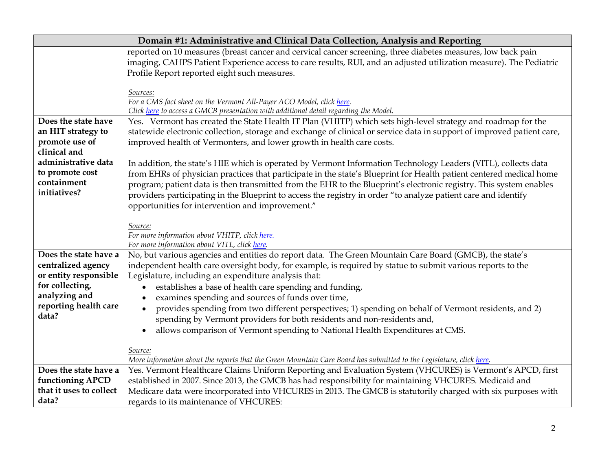| Domain #1: Administrative and Clinical Data Collection, Analysis and Reporting |                                                                                                                                                                                                                                           |
|--------------------------------------------------------------------------------|-------------------------------------------------------------------------------------------------------------------------------------------------------------------------------------------------------------------------------------------|
|                                                                                | reported on 10 measures (breast cancer and cervical cancer screening, three diabetes measures, low back pain                                                                                                                              |
|                                                                                | imaging, CAHPS Patient Experience access to care results, RUI, and an adjusted utilization measure). The Pediatric                                                                                                                        |
|                                                                                | Profile Report reported eight such measures.                                                                                                                                                                                              |
|                                                                                |                                                                                                                                                                                                                                           |
|                                                                                | Sources:                                                                                                                                                                                                                                  |
|                                                                                | For a CMS fact sheet on the Vermont All-Payer ACO Model, click here.                                                                                                                                                                      |
| Does the state have                                                            | Click here to access a GMCB presentation with additional detail regarding the Model.<br>Yes. Vermont has created the State Health IT Plan (VHITP) which sets high-level strategy and roadmap for the                                      |
| an HIT strategy to                                                             |                                                                                                                                                                                                                                           |
| promote use of                                                                 | statewide electronic collection, storage and exchange of clinical or service data in support of improved patient care,<br>improved health of Vermonters, and lower growth in health care costs.                                           |
| clinical and                                                                   |                                                                                                                                                                                                                                           |
| administrative data                                                            |                                                                                                                                                                                                                                           |
| to promote cost                                                                | In addition, the state's HIE which is operated by Vermont Information Technology Leaders (VITL), collects data                                                                                                                            |
| containment                                                                    | from EHRs of physician practices that participate in the state's Blueprint for Health patient centered medical home<br>program; patient data is then transmitted from the EHR to the Blueprint's electronic registry. This system enables |
| initiatives?                                                                   |                                                                                                                                                                                                                                           |
|                                                                                | providers participating in the Blueprint to access the registry in order "to analyze patient care and identify                                                                                                                            |
|                                                                                | opportunities for intervention and improvement."                                                                                                                                                                                          |
|                                                                                | Source:                                                                                                                                                                                                                                   |
|                                                                                | For more information about VHITP, click here.                                                                                                                                                                                             |
|                                                                                | For more information about VITL, click here.                                                                                                                                                                                              |
| Does the state have a                                                          | No, but various agencies and entities do report data. The Green Mountain Care Board (GMCB), the state's                                                                                                                                   |
| centralized agency                                                             | independent health care oversight body, for example, is required by statue to submit various reports to the                                                                                                                               |
| or entity responsible                                                          | Legislature, including an expenditure analysis that:                                                                                                                                                                                      |
| for collecting,                                                                | establishes a base of health care spending and funding,                                                                                                                                                                                   |
| analyzing and                                                                  | examines spending and sources of funds over time,<br>$\bullet$                                                                                                                                                                            |
| reporting health care                                                          | provides spending from two different perspectives; 1) spending on behalf of Vermont residents, and 2)<br>$\bullet$                                                                                                                        |
| data?                                                                          | spending by Vermont providers for both residents and non-residents and,                                                                                                                                                                   |
|                                                                                | allows comparison of Vermont spending to National Health Expenditures at CMS.<br>$\bullet$                                                                                                                                                |
|                                                                                |                                                                                                                                                                                                                                           |
|                                                                                | Source:                                                                                                                                                                                                                                   |
|                                                                                | More information about the reports that the Green Mountain Care Board has submitted to the Legislature, click here.                                                                                                                       |
| Does the state have a                                                          | Yes. Vermont Healthcare Claims Uniform Reporting and Evaluation System (VHCURES) is Vermont's APCD, first                                                                                                                                 |
| functioning APCD                                                               | established in 2007. Since 2013, the GMCB has had responsibility for maintaining VHCURES. Medicaid and                                                                                                                                    |
| that it uses to collect                                                        | Medicare data were incorporated into VHCURES in 2013. The GMCB is statutorily charged with six purposes with                                                                                                                              |
| data?                                                                          | regards to its maintenance of VHCURES:                                                                                                                                                                                                    |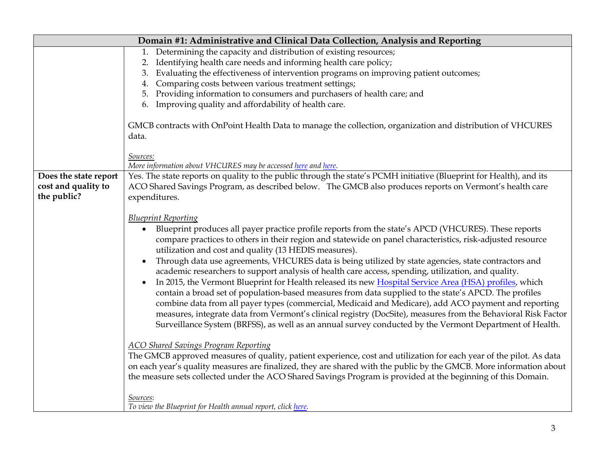| Domain #1: Administrative and Clinical Data Collection, Analysis and Reporting |                                                                                                                                                                                                                                                                                                                                                                                                                                                                                                                                                                                                                                                                                                                                                                                                                                                                                                                                                                                                                                                                                                                                                                                                                                                                                                                                                                                                                                                                                                                                                                                                  |
|--------------------------------------------------------------------------------|--------------------------------------------------------------------------------------------------------------------------------------------------------------------------------------------------------------------------------------------------------------------------------------------------------------------------------------------------------------------------------------------------------------------------------------------------------------------------------------------------------------------------------------------------------------------------------------------------------------------------------------------------------------------------------------------------------------------------------------------------------------------------------------------------------------------------------------------------------------------------------------------------------------------------------------------------------------------------------------------------------------------------------------------------------------------------------------------------------------------------------------------------------------------------------------------------------------------------------------------------------------------------------------------------------------------------------------------------------------------------------------------------------------------------------------------------------------------------------------------------------------------------------------------------------------------------------------------------|
|                                                                                | Determining the capacity and distribution of existing resources;<br>1.                                                                                                                                                                                                                                                                                                                                                                                                                                                                                                                                                                                                                                                                                                                                                                                                                                                                                                                                                                                                                                                                                                                                                                                                                                                                                                                                                                                                                                                                                                                           |
|                                                                                | 2. Identifying health care needs and informing health care policy;                                                                                                                                                                                                                                                                                                                                                                                                                                                                                                                                                                                                                                                                                                                                                                                                                                                                                                                                                                                                                                                                                                                                                                                                                                                                                                                                                                                                                                                                                                                               |
|                                                                                | 3. Evaluating the effectiveness of intervention programs on improving patient outcomes;                                                                                                                                                                                                                                                                                                                                                                                                                                                                                                                                                                                                                                                                                                                                                                                                                                                                                                                                                                                                                                                                                                                                                                                                                                                                                                                                                                                                                                                                                                          |
|                                                                                | Comparing costs between various treatment settings;<br>4.                                                                                                                                                                                                                                                                                                                                                                                                                                                                                                                                                                                                                                                                                                                                                                                                                                                                                                                                                                                                                                                                                                                                                                                                                                                                                                                                                                                                                                                                                                                                        |
|                                                                                | 5. Providing information to consumers and purchasers of health care; and                                                                                                                                                                                                                                                                                                                                                                                                                                                                                                                                                                                                                                                                                                                                                                                                                                                                                                                                                                                                                                                                                                                                                                                                                                                                                                                                                                                                                                                                                                                         |
|                                                                                | 6. Improving quality and affordability of health care.                                                                                                                                                                                                                                                                                                                                                                                                                                                                                                                                                                                                                                                                                                                                                                                                                                                                                                                                                                                                                                                                                                                                                                                                                                                                                                                                                                                                                                                                                                                                           |
|                                                                                | GMCB contracts with OnPoint Health Data to manage the collection, organization and distribution of VHCURES<br>data.                                                                                                                                                                                                                                                                                                                                                                                                                                                                                                                                                                                                                                                                                                                                                                                                                                                                                                                                                                                                                                                                                                                                                                                                                                                                                                                                                                                                                                                                              |
|                                                                                | Sources:                                                                                                                                                                                                                                                                                                                                                                                                                                                                                                                                                                                                                                                                                                                                                                                                                                                                                                                                                                                                                                                                                                                                                                                                                                                                                                                                                                                                                                                                                                                                                                                         |
|                                                                                | More information about VHCURES may be accessed here and here.                                                                                                                                                                                                                                                                                                                                                                                                                                                                                                                                                                                                                                                                                                                                                                                                                                                                                                                                                                                                                                                                                                                                                                                                                                                                                                                                                                                                                                                                                                                                    |
| Does the state report                                                          | Yes. The state reports on quality to the public through the state's PCMH initiative (Blueprint for Health), and its                                                                                                                                                                                                                                                                                                                                                                                                                                                                                                                                                                                                                                                                                                                                                                                                                                                                                                                                                                                                                                                                                                                                                                                                                                                                                                                                                                                                                                                                              |
| cost and quality to                                                            | ACO Shared Savings Program, as described below. The GMCB also produces reports on Vermont's health care                                                                                                                                                                                                                                                                                                                                                                                                                                                                                                                                                                                                                                                                                                                                                                                                                                                                                                                                                                                                                                                                                                                                                                                                                                                                                                                                                                                                                                                                                          |
| the public?                                                                    | expenditures.                                                                                                                                                                                                                                                                                                                                                                                                                                                                                                                                                                                                                                                                                                                                                                                                                                                                                                                                                                                                                                                                                                                                                                                                                                                                                                                                                                                                                                                                                                                                                                                    |
|                                                                                | <b>Blueprint Reporting</b><br>Blueprint produces all payer practice profile reports from the state's APCD (VHCURES). These reports<br>compare practices to others in their region and statewide on panel characteristics, risk-adjusted resource<br>utilization and cost and quality (13 HEDIS measures).<br>Through data use agreements, VHCURES data is being utilized by state agencies, state contractors and<br>$\bullet$<br>academic researchers to support analysis of health care access, spending, utilization, and quality.<br>In 2015, the Vermont Blueprint for Health released its new Hospital Service Area (HSA) profiles, which<br>$\bullet$<br>contain a broad set of population-based measures from data supplied to the state's APCD. The profiles<br>combine data from all payer types (commercial, Medicaid and Medicare), add ACO payment and reporting<br>measures, integrate data from Vermont's clinical registry (DocSite), measures from the Behavioral Risk Factor<br>Surveillance System (BRFSS), as well as an annual survey conducted by the Vermont Department of Health.<br><b>ACO Shared Savings Program Reporting</b><br>The GMCB approved measures of quality, patient experience, cost and utilization for each year of the pilot. As data<br>on each year's quality measures are finalized, they are shared with the public by the GMCB. More information about<br>the measure sets collected under the ACO Shared Savings Program is provided at the beginning of this Domain.<br>Sources:<br>To view the Blueprint for Health annual report, click here. |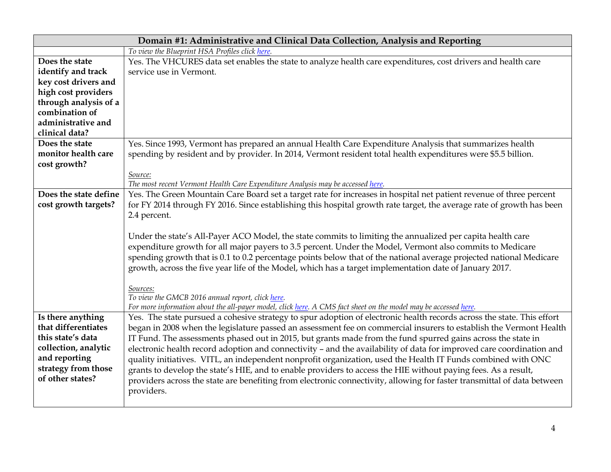| Domain #1: Administrative and Clinical Data Collection, Analysis and Reporting |                                                                                                                                                                     |
|--------------------------------------------------------------------------------|---------------------------------------------------------------------------------------------------------------------------------------------------------------------|
|                                                                                | To view the Blueprint HSA Profiles click here.                                                                                                                      |
| Does the state                                                                 | Yes. The VHCURES data set enables the state to analyze health care expenditures, cost drivers and health care                                                       |
| identify and track                                                             | service use in Vermont.                                                                                                                                             |
| key cost drivers and                                                           |                                                                                                                                                                     |
| high cost providers                                                            |                                                                                                                                                                     |
| through analysis of a                                                          |                                                                                                                                                                     |
| combination of                                                                 |                                                                                                                                                                     |
| administrative and                                                             |                                                                                                                                                                     |
| clinical data?                                                                 |                                                                                                                                                                     |
| Does the state                                                                 | Yes. Since 1993, Vermont has prepared an annual Health Care Expenditure Analysis that summarizes health                                                             |
| monitor health care                                                            | spending by resident and by provider. In 2014, Vermont resident total health expenditures were \$5.5 billion.                                                       |
| cost growth?                                                                   |                                                                                                                                                                     |
|                                                                                | Source:                                                                                                                                                             |
|                                                                                | The most recent Vermont Health Care Expenditure Analysis may be accessed here.                                                                                      |
| Does the state define                                                          | Yes. The Green Mountain Care Board set a target rate for increases in hospital net patient revenue of three percent                                                 |
| cost growth targets?                                                           | for FY 2014 through FY 2016. Since establishing this hospital growth rate target, the average rate of growth has been                                               |
|                                                                                | 2.4 percent.                                                                                                                                                        |
|                                                                                | Under the state's All-Payer ACO Model, the state commits to limiting the annualized per capita health care                                                          |
|                                                                                | expenditure growth for all major payers to 3.5 percent. Under the Model, Vermont also commits to Medicare                                                           |
|                                                                                | spending growth that is 0.1 to 0.2 percentage points below that of the national average projected national Medicare                                                 |
|                                                                                | growth, across the five year life of the Model, which has a target implementation date of January 2017.                                                             |
|                                                                                |                                                                                                                                                                     |
|                                                                                | Sources:                                                                                                                                                            |
|                                                                                | To view the GMCB 2016 annual report, click here.<br>For more information about the all-payer model, click here. A CMS fact sheet on the model may be accessed here. |
| Is there anything                                                              | Yes. The state pursued a cohesive strategy to spur adoption of electronic health records across the state. This effort                                              |
| that differentiates                                                            | began in 2008 when the legislature passed an assessment fee on commercial insurers to establish the Vermont Health                                                  |
| this state's data                                                              | IT Fund. The assessments phased out in 2015, but grants made from the fund spurred gains across the state in                                                        |
| collection, analytic                                                           | electronic health record adoption and connectivity - and the availability of data for improved care coordination and                                                |
| and reporting                                                                  | quality initiatives. VITL, an independent nonprofit organization, used the Health IT Funds combined with ONC                                                        |
| strategy from those                                                            | grants to develop the state's HIE, and to enable providers to access the HIE without paying fees. As a result,                                                      |
| of other states?                                                               | providers across the state are benefiting from electronic connectivity, allowing for faster transmittal of data between                                             |
|                                                                                | providers.                                                                                                                                                          |
|                                                                                |                                                                                                                                                                     |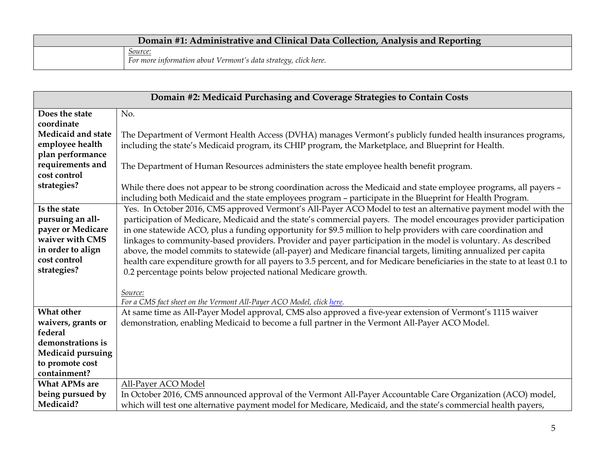## **Domain #1: Administrative and Clinical Data Collection, Analysis and Reporting** *Source: For more information about Vermont's data strategy, click here.*

| Domain #2: Medicaid Purchasing and Coverage Strategies to Contain Costs |                                                                                                                              |
|-------------------------------------------------------------------------|------------------------------------------------------------------------------------------------------------------------------|
| Does the state                                                          | No.                                                                                                                          |
| coordinate                                                              |                                                                                                                              |
| Medicaid and state                                                      | The Department of Vermont Health Access (DVHA) manages Vermont's publicly funded health insurances programs,                 |
| employee health                                                         | including the state's Medicaid program, its CHIP program, the Marketplace, and Blueprint for Health.                         |
| plan performance                                                        |                                                                                                                              |
| requirements and                                                        | The Department of Human Resources administers the state employee health benefit program.                                     |
| cost control                                                            |                                                                                                                              |
| strategies?                                                             | While there does not appear to be strong coordination across the Medicaid and state employee programs, all payers -          |
|                                                                         | including both Medicaid and the state employees program - participate in the Blueprint for Health Program.                   |
| Is the state                                                            | Yes. In October 2016, CMS approved Vermont's All-Payer ACO Model to test an alternative payment model with the               |
| pursuing an all-                                                        | participation of Medicare, Medicaid and the state's commercial payers. The model encourages provider participation           |
| payer or Medicare                                                       | in one statewide ACO, plus a funding opportunity for \$9.5 million to help providers with care coordination and              |
| waiver with CMS                                                         | linkages to community-based providers. Provider and payer participation in the model is voluntary. As described              |
| in order to align                                                       | above, the model commits to statewide (all-payer) and Medicare financial targets, limiting annualized per capita             |
| cost control                                                            | health care expenditure growth for all payers to 3.5 percent, and for Medicare beneficiaries in the state to at least 0.1 to |
| strategies?                                                             | 0.2 percentage points below projected national Medicare growth.                                                              |
|                                                                         |                                                                                                                              |
|                                                                         | Source:                                                                                                                      |
|                                                                         | For a CMS fact sheet on the Vermont All-Payer ACO Model, click here.                                                         |
| What other                                                              | At same time as All-Payer Model approval, CMS also approved a five-year extension of Vermont's 1115 waiver                   |
| waivers, grants or                                                      | demonstration, enabling Medicaid to become a full partner in the Vermont All-Payer ACO Model.                                |
| federal                                                                 |                                                                                                                              |
| demonstrations is                                                       |                                                                                                                              |
| Medicaid pursuing                                                       |                                                                                                                              |
| to promote cost                                                         |                                                                                                                              |
| containment?                                                            |                                                                                                                              |
| <b>What APMs are</b>                                                    | All-Payer ACO Model                                                                                                          |
| being pursued by                                                        | In October 2016, CMS announced approval of the Vermont All-Payer Accountable Care Organization (ACO) model,                  |
| Medicaid?                                                               | which will test one alternative payment model for Medicare, Medicaid, and the state's commercial health payers,              |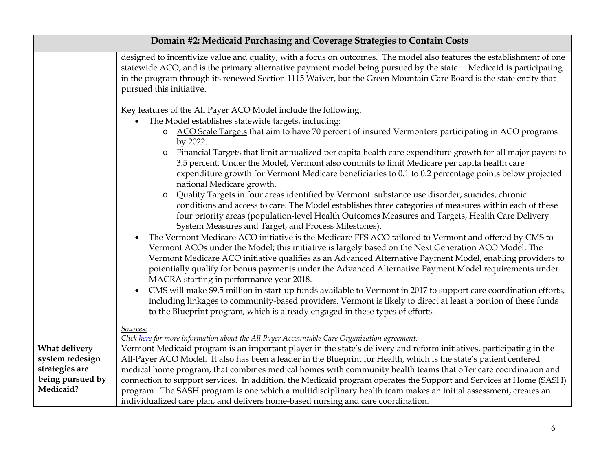| Domain #2: Medicaid Purchasing and Coverage Strategies to Contain Costs |                                                                                                                                                                                                                                                                                                                                                                                                                                                                                                                                                                                                                                                                                                                                                                                                                                                                                                                                                                                                                                                                                                                                                                                                                                                                                                                                                                                                                                                                                                                                                                                                                                                                                                                                                                                                                                       |
|-------------------------------------------------------------------------|---------------------------------------------------------------------------------------------------------------------------------------------------------------------------------------------------------------------------------------------------------------------------------------------------------------------------------------------------------------------------------------------------------------------------------------------------------------------------------------------------------------------------------------------------------------------------------------------------------------------------------------------------------------------------------------------------------------------------------------------------------------------------------------------------------------------------------------------------------------------------------------------------------------------------------------------------------------------------------------------------------------------------------------------------------------------------------------------------------------------------------------------------------------------------------------------------------------------------------------------------------------------------------------------------------------------------------------------------------------------------------------------------------------------------------------------------------------------------------------------------------------------------------------------------------------------------------------------------------------------------------------------------------------------------------------------------------------------------------------------------------------------------------------------------------------------------------------|
|                                                                         | designed to incentivize value and quality, with a focus on outcomes. The model also features the establishment of one<br>statewide ACO, and is the primary alternative payment model being pursued by the state. Medicaid is participating<br>in the program through its renewed Section 1115 Waiver, but the Green Mountain Care Board is the state entity that<br>pursued this initiative.                                                                                                                                                                                                                                                                                                                                                                                                                                                                                                                                                                                                                                                                                                                                                                                                                                                                                                                                                                                                                                                                                                                                                                                                                                                                                                                                                                                                                                          |
|                                                                         | Key features of the All Payer ACO Model include the following.<br>The Model establishes statewide targets, including:<br>ACO Scale Targets that aim to have 70 percent of insured Vermonters participating in ACO programs<br>$\circ$<br>by 2022.<br>Financial Targets that limit annualized per capita health care expenditure growth for all major payers to<br>$\circ$<br>3.5 percent. Under the Model, Vermont also commits to limit Medicare per capita health care<br>expenditure growth for Vermont Medicare beneficiaries to 0.1 to 0.2 percentage points below projected<br>national Medicare growth.<br>Quality Targets in four areas identified by Vermont: substance use disorder, suicides, chronic<br>$\circ$<br>conditions and access to care. The Model establishes three categories of measures within each of these<br>four priority areas (population-level Health Outcomes Measures and Targets, Health Care Delivery<br>System Measures and Target, and Process Milestones).<br>The Vermont Medicare ACO initiative is the Medicare FFS ACO tailored to Vermont and offered by CMS to<br>Vermont ACOs under the Model; this initiative is largely based on the Next Generation ACO Model. The<br>Vermont Medicare ACO initiative qualifies as an Advanced Alternative Payment Model, enabling providers to<br>potentially qualify for bonus payments under the Advanced Alternative Payment Model requirements under<br>MACRA starting in performance year 2018.<br>CMS will make \$9.5 million in start-up funds available to Vermont in 2017 to support care coordination efforts,<br>$\bullet$<br>including linkages to community-based providers. Vermont is likely to direct at least a portion of these funds<br>to the Blueprint program, which is already engaged in these types of efforts.<br>Sources: |
| What delivery                                                           |                                                                                                                                                                                                                                                                                                                                                                                                                                                                                                                                                                                                                                                                                                                                                                                                                                                                                                                                                                                                                                                                                                                                                                                                                                                                                                                                                                                                                                                                                                                                                                                                                                                                                                                                                                                                                                       |
| system redesign                                                         | All-Payer ACO Model. It also has been a leader in the Blueprint for Health, which is the state's patient centered                                                                                                                                                                                                                                                                                                                                                                                                                                                                                                                                                                                                                                                                                                                                                                                                                                                                                                                                                                                                                                                                                                                                                                                                                                                                                                                                                                                                                                                                                                                                                                                                                                                                                                                     |
| strategies are                                                          | medical home program, that combines medical homes with community health teams that offer care coordination and                                                                                                                                                                                                                                                                                                                                                                                                                                                                                                                                                                                                                                                                                                                                                                                                                                                                                                                                                                                                                                                                                                                                                                                                                                                                                                                                                                                                                                                                                                                                                                                                                                                                                                                        |
|                                                                         |                                                                                                                                                                                                                                                                                                                                                                                                                                                                                                                                                                                                                                                                                                                                                                                                                                                                                                                                                                                                                                                                                                                                                                                                                                                                                                                                                                                                                                                                                                                                                                                                                                                                                                                                                                                                                                       |
|                                                                         |                                                                                                                                                                                                                                                                                                                                                                                                                                                                                                                                                                                                                                                                                                                                                                                                                                                                                                                                                                                                                                                                                                                                                                                                                                                                                                                                                                                                                                                                                                                                                                                                                                                                                                                                                                                                                                       |
| being pursued by<br>Medicaid?                                           | Click here for more information about the All Payer Accountable Care Organization agreement.<br>Vermont Medicaid program is an important player in the state's delivery and reform initiatives, participating in the<br>connection to support services. In addition, the Medicaid program operates the Support and Services at Home (SASH)<br>program. The SASH program is one which a multidisciplinary health team makes an initial assessment, creates an<br>individualized care plan, and delivers home-based nursing and care coordination.                                                                                                                                                                                                                                                                                                                                                                                                                                                                                                                                                                                                                                                                                                                                                                                                                                                                                                                                                                                                                                                                                                                                                                                                                                                                                      |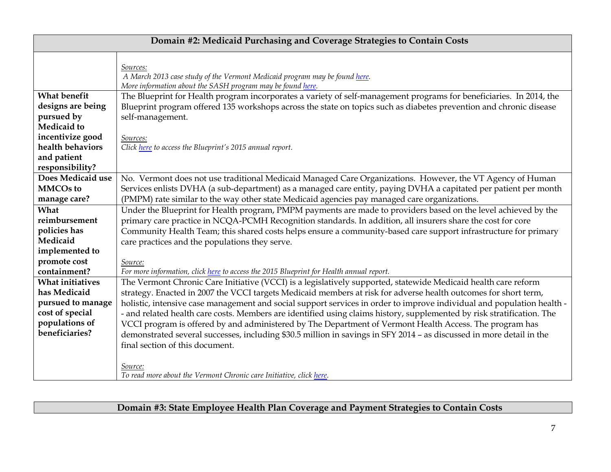| Domain #2: Medicaid Purchasing and Coverage Strategies to Contain Costs                                             |                                                                                                                                                                                                                                                                                                                                                                                                                                                                                                                                                                                                                                                                                                                                                             |  |
|---------------------------------------------------------------------------------------------------------------------|-------------------------------------------------------------------------------------------------------------------------------------------------------------------------------------------------------------------------------------------------------------------------------------------------------------------------------------------------------------------------------------------------------------------------------------------------------------------------------------------------------------------------------------------------------------------------------------------------------------------------------------------------------------------------------------------------------------------------------------------------------------|--|
|                                                                                                                     | Sources:<br>A March 2013 case study of the Vermont Medicaid program may be found here.<br>More information about the SASH program may be found here.                                                                                                                                                                                                                                                                                                                                                                                                                                                                                                                                                                                                        |  |
| <b>What benefit</b><br>designs are being<br>pursued by<br>Medicaid to                                               | The Blueprint for Health program incorporates a variety of self-management programs for beneficiaries. In 2014, the<br>Blueprint program offered 135 workshops across the state on topics such as diabetes prevention and chronic disease<br>self-management.                                                                                                                                                                                                                                                                                                                                                                                                                                                                                               |  |
| incentivize good<br>health behaviors<br>and patient<br>responsibility?                                              | Sources:<br>Click here to access the Blueprint's 2015 annual report.                                                                                                                                                                                                                                                                                                                                                                                                                                                                                                                                                                                                                                                                                        |  |
| Does Medicaid use<br><b>MMCOs to</b><br>manage care?                                                                | No. Vermont does not use traditional Medicaid Managed Care Organizations. However, the VT Agency of Human<br>Services enlists DVHA (a sub-department) as a managed care entity, paying DVHA a capitated per patient per month<br>(PMPM) rate similar to the way other state Medicaid agencies pay managed care organizations.                                                                                                                                                                                                                                                                                                                                                                                                                               |  |
| What<br>reimbursement<br>policies has<br>Medicaid<br>implemented to                                                 | Under the Blueprint for Health program, PMPM payments are made to providers based on the level achieved by the<br>primary care practice in NCQA-PCMH Recognition standards. In addition, all insurers share the cost for core<br>Community Health Team; this shared costs helps ensure a community-based care support infrastructure for primary<br>care practices and the populations they serve.                                                                                                                                                                                                                                                                                                                                                          |  |
| promote cost<br>containment?                                                                                        | Source:<br>For more information, click here to access the 2015 Blueprint for Health annual report.                                                                                                                                                                                                                                                                                                                                                                                                                                                                                                                                                                                                                                                          |  |
| <b>What initiatives</b><br>has Medicaid<br>pursued to manage<br>cost of special<br>populations of<br>beneficiaries? | The Vermont Chronic Care Initiative (VCCI) is a legislatively supported, statewide Medicaid health care reform<br>strategy. Enacted in 2007 the VCCI targets Medicaid members at risk for adverse health outcomes for short term,<br>holistic, intensive case management and social support services in order to improve individual and population health -<br>- and related health care costs. Members are identified using claims history, supplemented by risk stratification. The<br>VCCI program is offered by and administered by The Department of Vermont Health Access. The program has<br>demonstrated several successes, including \$30.5 million in savings in SFY 2014 - as discussed in more detail in the<br>final section of this document. |  |
|                                                                                                                     | Source:<br>To read more about the Vermont Chronic care Initiative, click here.                                                                                                                                                                                                                                                                                                                                                                                                                                                                                                                                                                                                                                                                              |  |

**Domain #3: State Employee Health Plan Coverage and Payment Strategies to Contain Costs**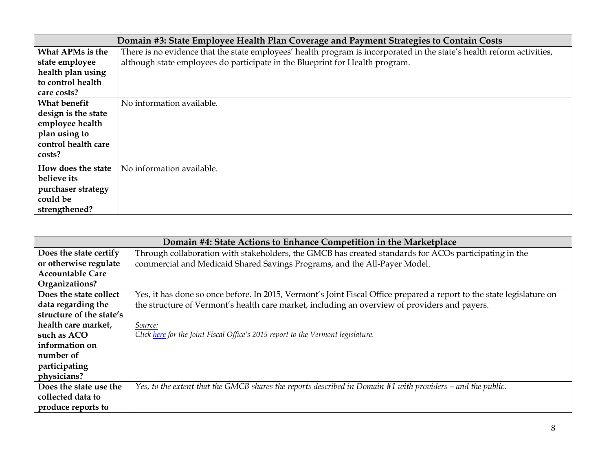| Domain #3: State Employee Health Plan Coverage and Payment Strategies to Contain Costs |                                                                                                                        |
|----------------------------------------------------------------------------------------|------------------------------------------------------------------------------------------------------------------------|
| What APMs is the                                                                       | There is no evidence that the state employees' health program is incorporated in the state's health reform activities, |
| state employee                                                                         | although state employees do participate in the Blueprint for Health program.                                           |
| health plan using                                                                      |                                                                                                                        |
| to control health                                                                      |                                                                                                                        |
| care costs?                                                                            |                                                                                                                        |
| What benefit                                                                           | No information available.                                                                                              |
| design is the state                                                                    |                                                                                                                        |
| employee health                                                                        |                                                                                                                        |
| plan using to                                                                          |                                                                                                                        |
| control health care                                                                    |                                                                                                                        |
| costs?                                                                                 |                                                                                                                        |
| How does the state                                                                     | No information available.                                                                                              |
| believe its                                                                            |                                                                                                                        |
| purchaser strategy                                                                     |                                                                                                                        |
| could be                                                                               |                                                                                                                        |
| strengthened?                                                                          |                                                                                                                        |

| Domain #4: State Actions to Enhance Competition in the Marketplace |                                                                                                                       |
|--------------------------------------------------------------------|-----------------------------------------------------------------------------------------------------------------------|
| Does the state certify                                             | Through collaboration with stakeholders, the GMCB has created standards for ACOs participating in the                 |
| or otherwise regulate                                              | commercial and Medicaid Shared Savings Programs, and the All-Payer Model.                                             |
| <b>Accountable Care</b>                                            |                                                                                                                       |
| Organizations?                                                     |                                                                                                                       |
| Does the state collect                                             | Yes, it has done so once before. In 2015, Vermont's Joint Fiscal Office prepared a report to the state legislature on |
| data regarding the                                                 | the structure of Vermont's health care market, including an overview of providers and payers.                         |
| structure of the state's                                           |                                                                                                                       |
| health care market,                                                | Source:                                                                                                               |
| such as ACO                                                        | Click here for the Joint Fiscal Office's 2015 report to the Vermont legislature.                                      |
| information on                                                     |                                                                                                                       |
| number of                                                          |                                                                                                                       |
| participating                                                      |                                                                                                                       |
| physicians?                                                        |                                                                                                                       |
| Does the state use the                                             | Yes, to the extent that the GMCB shares the reports described in Domain #1 with providers – and the public.           |
| collected data to                                                  |                                                                                                                       |
| produce reports to                                                 |                                                                                                                       |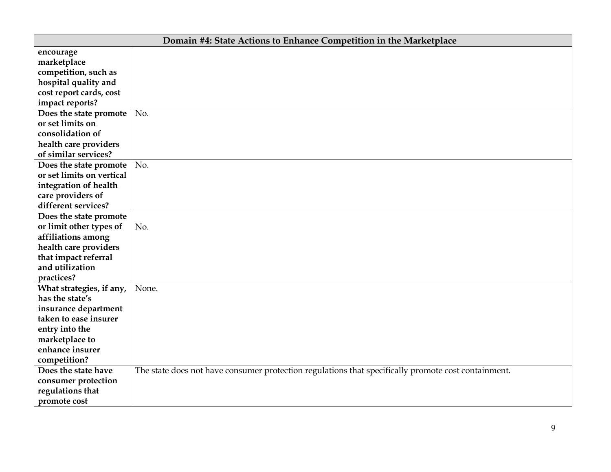| Domain #4: State Actions to Enhance Competition in the Marketplace |                                                                                                     |  |
|--------------------------------------------------------------------|-----------------------------------------------------------------------------------------------------|--|
| encourage                                                          |                                                                                                     |  |
| marketplace                                                        |                                                                                                     |  |
| competition, such as                                               |                                                                                                     |  |
| hospital quality and                                               |                                                                                                     |  |
| cost report cards, cost                                            |                                                                                                     |  |
| impact reports?                                                    |                                                                                                     |  |
| Does the state promote                                             | No.                                                                                                 |  |
| or set limits on                                                   |                                                                                                     |  |
| consolidation of                                                   |                                                                                                     |  |
| health care providers                                              |                                                                                                     |  |
| of similar services?                                               |                                                                                                     |  |
| Does the state promote                                             | No.                                                                                                 |  |
| or set limits on vertical                                          |                                                                                                     |  |
| integration of health                                              |                                                                                                     |  |
| care providers of                                                  |                                                                                                     |  |
| different services?                                                |                                                                                                     |  |
| Does the state promote                                             |                                                                                                     |  |
| or limit other types of                                            | No.                                                                                                 |  |
| affiliations among                                                 |                                                                                                     |  |
| health care providers                                              |                                                                                                     |  |
| that impact referral                                               |                                                                                                     |  |
| and utilization                                                    |                                                                                                     |  |
| practices?                                                         |                                                                                                     |  |
| What strategies, if any,                                           | None.                                                                                               |  |
| has the state's                                                    |                                                                                                     |  |
| insurance department                                               |                                                                                                     |  |
| taken to ease insurer                                              |                                                                                                     |  |
| entry into the                                                     |                                                                                                     |  |
| marketplace to                                                     |                                                                                                     |  |
| enhance insurer                                                    |                                                                                                     |  |
| competition?                                                       |                                                                                                     |  |
| Does the state have                                                | The state does not have consumer protection regulations that specifically promote cost containment. |  |
| consumer protection                                                |                                                                                                     |  |
| regulations that                                                   |                                                                                                     |  |
| promote cost                                                       |                                                                                                     |  |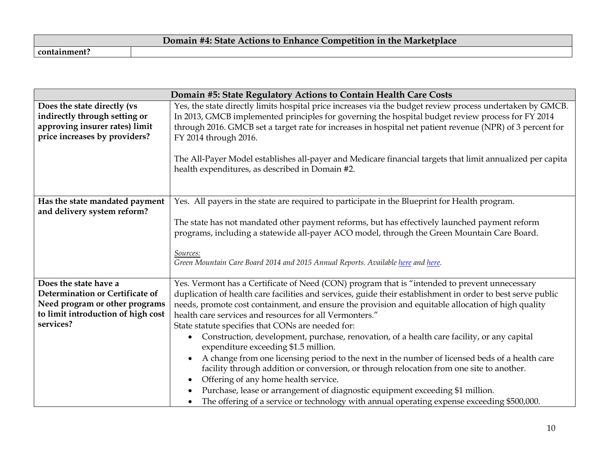| Domain #4: State Actions to Enhance Competition in the Marketplace |  |
|--------------------------------------------------------------------|--|
| containment.                                                       |  |

|                                                                                                                                               | Domain #5: State Regulatory Actions to Contain Health Care Costs                                                                                                                                                                                                                                                                                                                                                                                                                                                                                                                                                                                                                                                                                                                                                                                                                                                                                                                                           |
|-----------------------------------------------------------------------------------------------------------------------------------------------|------------------------------------------------------------------------------------------------------------------------------------------------------------------------------------------------------------------------------------------------------------------------------------------------------------------------------------------------------------------------------------------------------------------------------------------------------------------------------------------------------------------------------------------------------------------------------------------------------------------------------------------------------------------------------------------------------------------------------------------------------------------------------------------------------------------------------------------------------------------------------------------------------------------------------------------------------------------------------------------------------------|
| Does the state directly (vs<br>indirectly through setting or<br>approving insurer rates) limit<br>price increases by providers?               | Yes, the state directly limits hospital price increases via the budget review process undertaken by GMCB.<br>In 2013, GMCB implemented principles for governing the hospital budget review process for FY 2014<br>through 2016. GMCB set a target rate for increases in hospital net patient revenue (NPR) of 3 percent for<br>FY 2014 through 2016.<br>The All-Payer Model establishes all-payer and Medicare financial targets that limit annualized per capita<br>health expenditures, as described in Domain #2.                                                                                                                                                                                                                                                                                                                                                                                                                                                                                       |
| Has the state mandated payment<br>and delivery system reform?                                                                                 | Yes. All payers in the state are required to participate in the Blueprint for Health program.<br>The state has not mandated other payment reforms, but has effectively launched payment reform<br>programs, including a statewide all-payer ACO model, through the Green Mountain Care Board.<br>Sources:<br>Green Mountain Care Board 2014 and 2015 Annual Reports. Available here and here.                                                                                                                                                                                                                                                                                                                                                                                                                                                                                                                                                                                                              |
| Does the state have a<br>Determination or Certificate of<br>Need program or other programs<br>to limit introduction of high cost<br>services? | Yes. Vermont has a Certificate of Need (CON) program that is "intended to prevent unnecessary<br>duplication of health care facilities and services, guide their establishment in order to best serve public<br>needs, promote cost containment, and ensure the provision and equitable allocation of high quality<br>health care services and resources for all Vermonters."<br>State statute specifies that CONs are needed for:<br>Construction, development, purchase, renovation, of a health care facility, or any capital<br>$\bullet$<br>expenditure exceeding \$1.5 million.<br>A change from one licensing period to the next in the number of licensed beds of a health care<br>facility through addition or conversion, or through relocation from one site to another.<br>Offering of any home health service.<br>Purchase, lease or arrangement of diagnostic equipment exceeding \$1 million.<br>The offering of a service or technology with annual operating expense exceeding \$500,000. |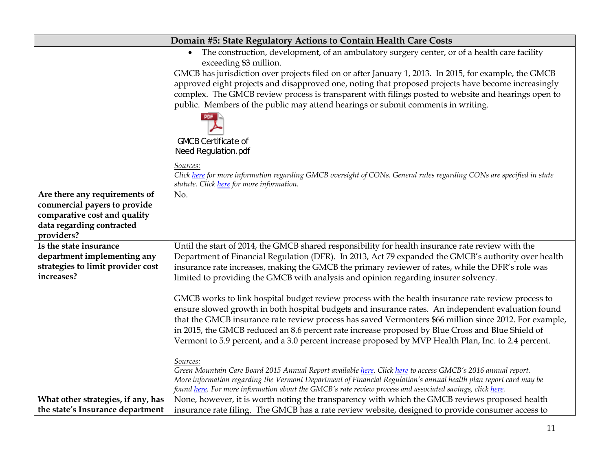| Domain #5: State Regulatory Actions to Contain Health Care Costs                                                                          |                                                                                                                                                                                                                                   |  |
|-------------------------------------------------------------------------------------------------------------------------------------------|-----------------------------------------------------------------------------------------------------------------------------------------------------------------------------------------------------------------------------------|--|
|                                                                                                                                           | The construction, development, of an ambulatory surgery center, or of a health care facility<br>exceeding \$3 million.                                                                                                            |  |
|                                                                                                                                           | GMCB has jurisdiction over projects filed on or after January 1, 2013. In 2015, for example, the GMCB                                                                                                                             |  |
|                                                                                                                                           | approved eight projects and disapproved one, noting that proposed projects have become increasingly                                                                                                                               |  |
|                                                                                                                                           | complex. The GMCB review process is transparent with filings posted to website and hearings open to                                                                                                                               |  |
|                                                                                                                                           | public. Members of the public may attend hearings or submit comments in writing.                                                                                                                                                  |  |
|                                                                                                                                           |                                                                                                                                                                                                                                   |  |
| <b>GMCB Certificate of</b>                                                                                                                |                                                                                                                                                                                                                                   |  |
|                                                                                                                                           | Need Regulation.pdf                                                                                                                                                                                                               |  |
|                                                                                                                                           | Sources:                                                                                                                                                                                                                          |  |
| Click here for more information regarding GMCB oversight of CONs. General rules regarding CONs are specified in state                     |                                                                                                                                                                                                                                   |  |
| statute. Click here for more information.                                                                                                 |                                                                                                                                                                                                                                   |  |
| Are there any requirements of<br>No.                                                                                                      |                                                                                                                                                                                                                                   |  |
| commercial payers to provide                                                                                                              |                                                                                                                                                                                                                                   |  |
|                                                                                                                                           | comparative cost and quality                                                                                                                                                                                                      |  |
| data regarding contracted                                                                                                                 |                                                                                                                                                                                                                                   |  |
| providers?<br>Until the start of 2014, the GMCB shared responsibility for health insurance rate review with the<br>Is the state insurance |                                                                                                                                                                                                                                   |  |
| department implementing any                                                                                                               | Department of Financial Regulation (DFR). In 2013, Act 79 expanded the GMCB's authority over health                                                                                                                               |  |
| strategies to limit provider cost                                                                                                         | insurance rate increases, making the GMCB the primary reviewer of rates, while the DFR's role was                                                                                                                                 |  |
| increases?                                                                                                                                | limited to providing the GMCB with analysis and opinion regarding insurer solvency.                                                                                                                                               |  |
|                                                                                                                                           |                                                                                                                                                                                                                                   |  |
|                                                                                                                                           | GMCB works to link hospital budget review process with the health insurance rate review process to                                                                                                                                |  |
|                                                                                                                                           | ensure slowed growth in both hospital budgets and insurance rates. An independent evaluation found                                                                                                                                |  |
|                                                                                                                                           | that the GMCB insurance rate review process has saved Vermonters \$66 million since 2012. For example,                                                                                                                            |  |
|                                                                                                                                           | in 2015, the GMCB reduced an 8.6 percent rate increase proposed by Blue Cross and Blue Shield of                                                                                                                                  |  |
|                                                                                                                                           | Vermont to 5.9 percent, and a 3.0 percent increase proposed by MVP Health Plan, Inc. to 2.4 percent.                                                                                                                              |  |
|                                                                                                                                           |                                                                                                                                                                                                                                   |  |
|                                                                                                                                           | Sources:                                                                                                                                                                                                                          |  |
|                                                                                                                                           | Green Mountain Care Board 2015 Annual Report available here. Click here to access GMCB's 2016 annual report.<br>More information regarding the Vermont Department of Financial Regulation's annual health plan report card may be |  |
|                                                                                                                                           | found here. For more information about the GMCB's rate review process and associated savings, click here.                                                                                                                         |  |
| What other strategies, if any, has                                                                                                        | None, however, it is worth noting the transparency with which the GMCB reviews proposed health                                                                                                                                    |  |
| the state's Insurance department                                                                                                          | insurance rate filing. The GMCB has a rate review website, designed to provide consumer access to                                                                                                                                 |  |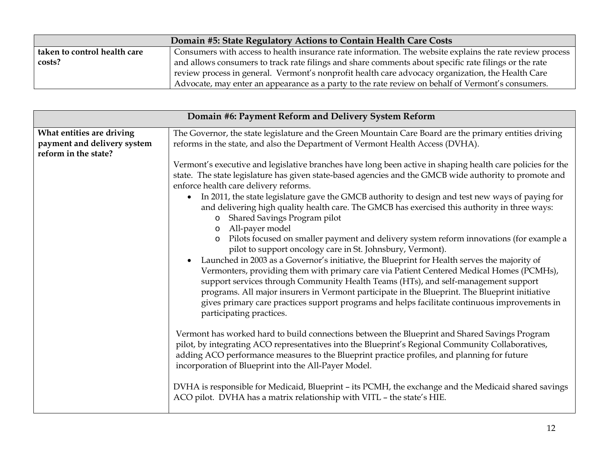| Domain #5: State Regulatory Actions to Contain Health Care Costs                                                |                                                                                                          |
|-----------------------------------------------------------------------------------------------------------------|----------------------------------------------------------------------------------------------------------|
| taken to control health care                                                                                    | Consumers with access to health insurance rate information. The website explains the rate review process |
| costs?<br>and allows consumers to track rate filings and share comments about specific rate filings or the rate |                                                                                                          |
|                                                                                                                 | review process in general. Vermont's nonprofit health care advocacy organization, the Health Care        |
|                                                                                                                 | Advocate, may enter an appearance as a party to the rate review on behalf of Vermont's consumers.        |

| Domain #6: Payment Reform and Delivery System Reform |                                                                                                                                                                                                                                                                                                                                                                                                                                                                                                                                                                                                                                                                                                                                                                                                                                                                                                                                                                                                                                                                                                                                                                                                                                                                                                                                                                                                                                                                                                                                                                                                                                                                                                                                                                                              |  |
|------------------------------------------------------|----------------------------------------------------------------------------------------------------------------------------------------------------------------------------------------------------------------------------------------------------------------------------------------------------------------------------------------------------------------------------------------------------------------------------------------------------------------------------------------------------------------------------------------------------------------------------------------------------------------------------------------------------------------------------------------------------------------------------------------------------------------------------------------------------------------------------------------------------------------------------------------------------------------------------------------------------------------------------------------------------------------------------------------------------------------------------------------------------------------------------------------------------------------------------------------------------------------------------------------------------------------------------------------------------------------------------------------------------------------------------------------------------------------------------------------------------------------------------------------------------------------------------------------------------------------------------------------------------------------------------------------------------------------------------------------------------------------------------------------------------------------------------------------------|--|
| What entities are driving                            | The Governor, the state legislature and the Green Mountain Care Board are the primary entities driving                                                                                                                                                                                                                                                                                                                                                                                                                                                                                                                                                                                                                                                                                                                                                                                                                                                                                                                                                                                                                                                                                                                                                                                                                                                                                                                                                                                                                                                                                                                                                                                                                                                                                       |  |
| payment and delivery system<br>reform in the state?  | reforms in the state, and also the Department of Vermont Health Access (DVHA).                                                                                                                                                                                                                                                                                                                                                                                                                                                                                                                                                                                                                                                                                                                                                                                                                                                                                                                                                                                                                                                                                                                                                                                                                                                                                                                                                                                                                                                                                                                                                                                                                                                                                                               |  |
|                                                      | Vermont's executive and legislative branches have long been active in shaping health care policies for the<br>state. The state legislature has given state-based agencies and the GMCB wide authority to promote and<br>enforce health care delivery reforms.<br>In 2011, the state legislature gave the GMCB authority to design and test new ways of paying for<br>$\bullet$<br>and delivering high quality health care. The GMCB has exercised this authority in three ways:<br>Shared Savings Program pilot<br>$\circ$<br>All-payer model<br>$\circ$<br>Pilots focused on smaller payment and delivery system reform innovations (for example a<br>$\circ$<br>pilot to support oncology care in St. Johnsbury, Vermont).<br>Launched in 2003 as a Governor's initiative, the Blueprint for Health serves the majority of<br>Vermonters, providing them with primary care via Patient Centered Medical Homes (PCMHs),<br>support services through Community Health Teams (HTs), and self-management support<br>programs. All major insurers in Vermont participate in the Blueprint. The Blueprint initiative<br>gives primary care practices support programs and helps facilitate continuous improvements in<br>participating practices.<br>Vermont has worked hard to build connections between the Blueprint and Shared Savings Program<br>pilot, by integrating ACO representatives into the Blueprint's Regional Community Collaboratives,<br>adding ACO performance measures to the Blueprint practice profiles, and planning for future<br>incorporation of Blueprint into the All-Payer Model.<br>DVHA is responsible for Medicaid, Blueprint - its PCMH, the exchange and the Medicaid shared savings<br>ACO pilot. DVHA has a matrix relationship with VITL - the state's HIE. |  |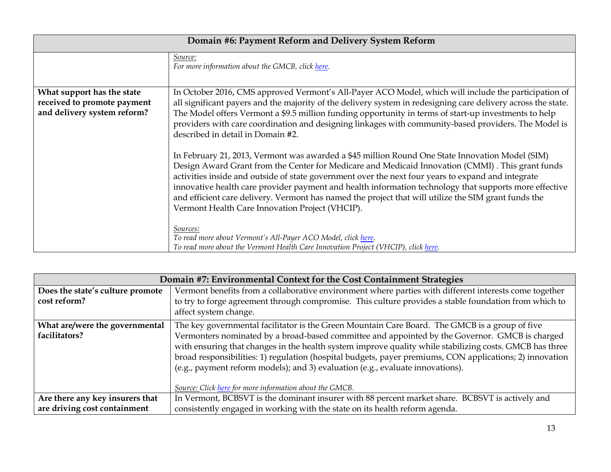| Domain #6: Payment Reform and Delivery System Reform                                     |                                                                                                                                                                                                                                                                                                                                                                                                                                                                                                                                                                                |  |
|------------------------------------------------------------------------------------------|--------------------------------------------------------------------------------------------------------------------------------------------------------------------------------------------------------------------------------------------------------------------------------------------------------------------------------------------------------------------------------------------------------------------------------------------------------------------------------------------------------------------------------------------------------------------------------|--|
|                                                                                          | Source:<br>For more information about the GMCB, click here.                                                                                                                                                                                                                                                                                                                                                                                                                                                                                                                    |  |
| What support has the state<br>received to promote payment<br>and delivery system reform? | In October 2016, CMS approved Vermont's All-Payer ACO Model, which will include the participation of<br>all significant payers and the majority of the delivery system in redesigning care delivery across the state.<br>The Model offers Vermont a \$9.5 million funding opportunity in terms of start-up investments to help<br>providers with care coordination and designing linkages with community-based providers. The Model is<br>described in detail in Domain #2.                                                                                                    |  |
|                                                                                          | In February 21, 2013, Vermont was awarded a \$45 million Round One State Innovation Model (SIM)<br>Design Award Grant from the Center for Medicare and Medicaid Innovation (CMMI). This grant funds<br>activities inside and outside of state government over the next four years to expand and integrate<br>innovative health care provider payment and health information technology that supports more effective<br>and efficient care delivery. Vermont has named the project that will utilize the SIM grant funds the<br>Vermont Health Care Innovation Project (VHCIP). |  |
|                                                                                          | Sources:<br>To read more about Vermont's All-Payer ACO Model, click here.<br>To read more about the Vermont Health Care Innovation Project (VHCIP), click here.                                                                                                                                                                                                                                                                                                                                                                                                                |  |

| Domain #7: Environmental Context for the Cost Containment Strategies |                                                                                                                                                                                                                                                                                                                                                                                                                                                                                                                                                                      |  |
|----------------------------------------------------------------------|----------------------------------------------------------------------------------------------------------------------------------------------------------------------------------------------------------------------------------------------------------------------------------------------------------------------------------------------------------------------------------------------------------------------------------------------------------------------------------------------------------------------------------------------------------------------|--|
| Does the state's culture promote<br>cost reform?                     | Vermont benefits from a collaborative environment where parties with different interests come together<br>to try to forge agreement through compromise. This culture provides a stable foundation from which to<br>affect system change.                                                                                                                                                                                                                                                                                                                             |  |
| What are/were the governmental<br>facilitators?                      | The key governmental facilitator is the Green Mountain Care Board. The GMCB is a group of five<br>Vermonters nominated by a broad-based committee and appointed by the Governor. GMCB is charged<br>with ensuring that changes in the health system improve quality while stabilizing costs. GMCB has three<br>broad responsibilities: 1) regulation (hospital budgets, payer premiums, CON applications; 2) innovation<br>(e.g., payment reform models); and 3) evaluation (e.g., evaluate innovations).<br>Source: Click here for more information about the GMCB. |  |
| Are there any key insurers that<br>are driving cost containment      | In Vermont, BCBSVT is the dominant insurer with 88 percent market share. BCBSVT is actively and<br>consistently engaged in working with the state on its health reform agenda.                                                                                                                                                                                                                                                                                                                                                                                       |  |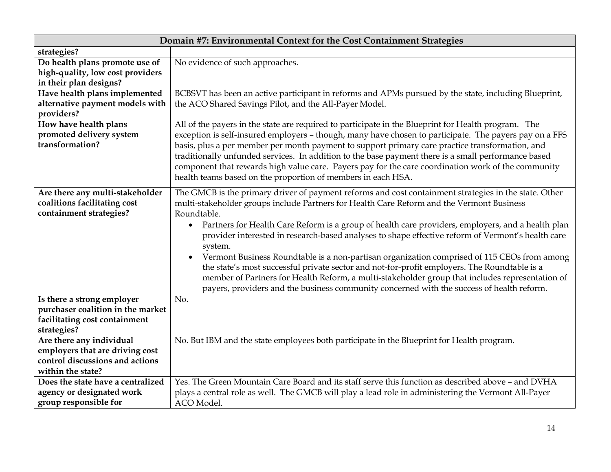| Domain #7: Environmental Context for the Cost Containment Strategies                                                |                                                                                                                                                                                                                                                                                                                                                                                                                                                                                                                                                                                                                                                                                                                                                                                                                                                    |  |
|---------------------------------------------------------------------------------------------------------------------|----------------------------------------------------------------------------------------------------------------------------------------------------------------------------------------------------------------------------------------------------------------------------------------------------------------------------------------------------------------------------------------------------------------------------------------------------------------------------------------------------------------------------------------------------------------------------------------------------------------------------------------------------------------------------------------------------------------------------------------------------------------------------------------------------------------------------------------------------|--|
| strategies?                                                                                                         |                                                                                                                                                                                                                                                                                                                                                                                                                                                                                                                                                                                                                                                                                                                                                                                                                                                    |  |
| Do health plans promote use of<br>high-quality, low cost providers<br>in their plan designs?                        | No evidence of such approaches.                                                                                                                                                                                                                                                                                                                                                                                                                                                                                                                                                                                                                                                                                                                                                                                                                    |  |
| Have health plans implemented<br>alternative payment models with<br>providers?                                      | BCBSVT has been an active participant in reforms and APMs pursued by the state, including Blueprint,<br>the ACO Shared Savings Pilot, and the All-Payer Model.                                                                                                                                                                                                                                                                                                                                                                                                                                                                                                                                                                                                                                                                                     |  |
| How have health plans<br>promoted delivery system<br>transformation?                                                | All of the payers in the state are required to participate in the Blueprint for Health program. The<br>exception is self-insured employers - though, many have chosen to participate. The payers pay on a FFS<br>basis, plus a per member per month payment to support primary care practice transformation, and<br>traditionally unfunded services. In addition to the base payment there is a small performance based<br>component that rewards high value care. Payers pay for the care coordination work of the community<br>health teams based on the proportion of members in each HSA.                                                                                                                                                                                                                                                      |  |
| Are there any multi-stakeholder<br>coalitions facilitating cost<br>containment strategies?                          | The GMCB is the primary driver of payment reforms and cost containment strategies in the state. Other<br>multi-stakeholder groups include Partners for Health Care Reform and the Vermont Business<br>Roundtable.<br>Partners for Health Care Reform is a group of health care providers, employers, and a health plan<br>$\bullet$<br>provider interested in research-based analyses to shape effective reform of Vermont's health care<br>system.<br>Vermont Business Roundtable is a non-partisan organization comprised of 115 CEOs from among<br>the state's most successful private sector and not-for-profit employers. The Roundtable is a<br>member of Partners for Health Reform, a multi-stakeholder group that includes representation of<br>payers, providers and the business community concerned with the success of health reform. |  |
| Is there a strong employer<br>purchaser coalition in the market<br>facilitating cost containment<br>strategies?     | No.                                                                                                                                                                                                                                                                                                                                                                                                                                                                                                                                                                                                                                                                                                                                                                                                                                                |  |
| Are there any individual<br>employers that are driving cost<br>control discussions and actions<br>within the state? | No. But IBM and the state employees both participate in the Blueprint for Health program.                                                                                                                                                                                                                                                                                                                                                                                                                                                                                                                                                                                                                                                                                                                                                          |  |
| Does the state have a centralized<br>agency or designated work<br>group responsible for                             | Yes. The Green Mountain Care Board and its staff serve this function as described above - and DVHA<br>plays a central role as well. The GMCB will play a lead role in administering the Vermont All-Payer<br>ACO Model.                                                                                                                                                                                                                                                                                                                                                                                                                                                                                                                                                                                                                            |  |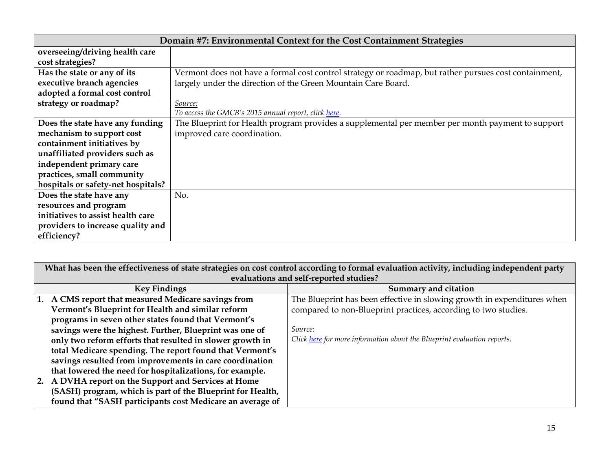| Domain #7: Environmental Context for the Cost Containment Strategies |                                                                                                       |
|----------------------------------------------------------------------|-------------------------------------------------------------------------------------------------------|
| overseeing/driving health care                                       |                                                                                                       |
| cost strategies?                                                     |                                                                                                       |
| Has the state or any of its                                          | Vermont does not have a formal cost control strategy or roadmap, but rather pursues cost containment, |
| executive branch agencies                                            | largely under the direction of the Green Mountain Care Board.                                         |
| adopted a formal cost control                                        |                                                                                                       |
| strategy or roadmap?                                                 | Source:                                                                                               |
|                                                                      | To access the GMCB's 2015 annual report, click here.                                                  |
| Does the state have any funding                                      | The Blueprint for Health program provides a supplemental per member per month payment to support      |
| mechanism to support cost                                            | improved care coordination.                                                                           |
| containment initiatives by                                           |                                                                                                       |
| unaffiliated providers such as                                       |                                                                                                       |
| independent primary care                                             |                                                                                                       |
| practices, small community                                           |                                                                                                       |
| hospitals or safety-net hospitals?                                   |                                                                                                       |
| Does the state have any                                              | No.                                                                                                   |
| resources and program                                                |                                                                                                       |
| initiatives to assist health care                                    |                                                                                                       |
| providers to increase quality and                                    |                                                                                                       |
| efficiency?                                                          |                                                                                                       |

| What has been the effectiveness of state strategies on cost control according to formal evaluation activity, including independent party |                                                                         |  |
|------------------------------------------------------------------------------------------------------------------------------------------|-------------------------------------------------------------------------|--|
| evaluations and self-reported studies?                                                                                                   |                                                                         |  |
| <b>Key Findings</b>                                                                                                                      | Summary and citation                                                    |  |
| A CMS report that measured Medicare savings from                                                                                         | The Blueprint has been effective in slowing growth in expenditures when |  |
| Vermont's Blueprint for Health and similar reform                                                                                        | compared to non-Blueprint practices, according to two studies.          |  |
| programs in seven other states found that Vermont's                                                                                      |                                                                         |  |
| savings were the highest. Further, Blueprint was one of                                                                                  | Source:                                                                 |  |
| only two reform efforts that resulted in slower growth in                                                                                | Click here for more information about the Blueprint evaluation reports. |  |
| total Medicare spending. The report found that Vermont's                                                                                 |                                                                         |  |
| savings resulted from improvements in care coordination                                                                                  |                                                                         |  |
| that lowered the need for hospitalizations, for example.                                                                                 |                                                                         |  |
| 2. A DVHA report on the Support and Services at Home                                                                                     |                                                                         |  |
| (SASH) program, which is part of the Blueprint for Health,                                                                               |                                                                         |  |
| found that "SASH participants cost Medicare an average of                                                                                |                                                                         |  |